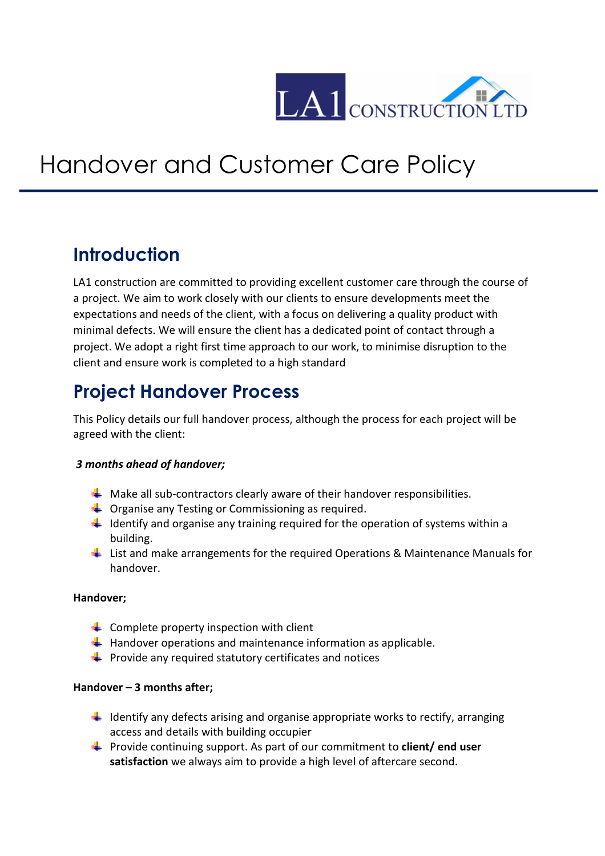

# Handover and Customer Care Policy

### **Introduction**

LA1 construction are committed to providing excellent customer care through the course of a project. We aim to work closely with our clients to ensure developments meet the expectations and needs of the client, with a focus on delivering a quality product with minimal defects. We will ensure the client has a dedicated point of contact through a project. We adopt a right first time approach to our work, to minimise disruption to the client and ensure work is completed to a high standard

## **Project Handover Process**

This Policy details our full handover process, although the process for each project will be agreed with the client:

#### *3 months ahead of handover;*

- $\ddotplus$  Make all sub-contractors clearly aware of their handover responsibilities.
- $\downarrow$  Organise any Testing or Commissioning as required.
- $\downarrow$  Identify and organise any training required for the operation of systems within a building.
- $\ddot{\phantom{1}}$  List and make arrangements for the required Operations & Maintenance Manuals for handover.

#### **Handover;**

- $\leftarrow$  Complete property inspection with client
- $\ddot{+}$  Handover operations and maintenance information as applicable.
- $\downarrow$  Provide any required statutory certificates and notices

#### **Handover – 3 months after;**

- $\downarrow$  Identify any defects arising and organise appropriate works to rectify, arranging access and details with building occupier
- Provide continuing support. As part of our commitment to **client/ end user satisfaction** we always aim to provide a high level of aftercare second.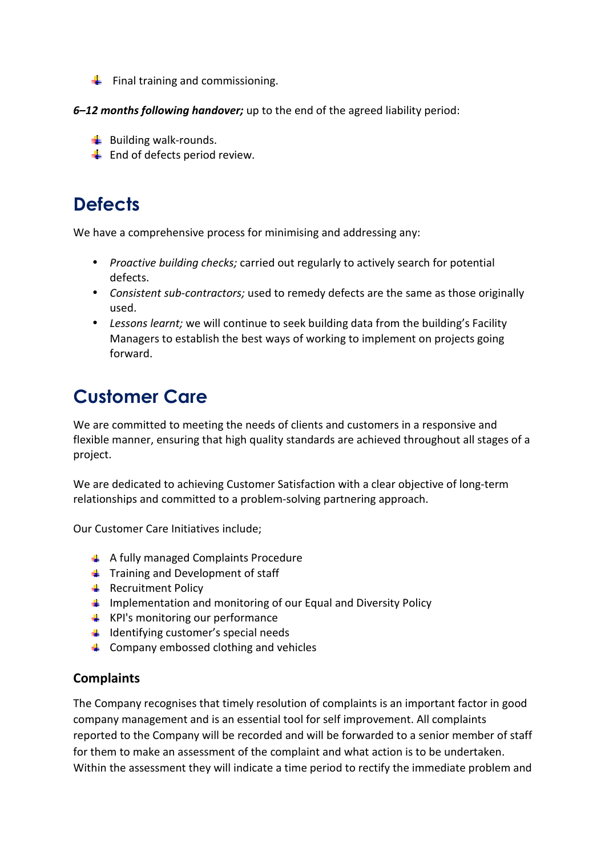- $\bigcup$  Final training and commissioning.
- *6–12 months following handover;* up to the end of the agreed liability period:
	- $\frac{1}{2}$  Building walk-rounds.
	- $\frac{1}{2}$  End of defects period review.

### **Defects**

We have a comprehensive process for minimising and addressing any:

- *Proactive building checks;* carried out regularly to actively search for potential defects.
- *Consistent sub-contractors;* used to remedy defects are the same as those originally used.
- *Lessons learnt;* we will continue to seek building data from the building's Facility Managers to establish the best ways of working to implement on projects going forward.

# **Customer Care**

We are committed to meeting the needs of clients and customers in a responsive and flexible manner, ensuring that high quality standards are achieved throughout all stages of a project.

We are dedicated to achieving Customer Satisfaction with a clear objective of long-term relationships and committed to a problem-solving partnering approach.

Our Customer Care Initiatives include;

- **↓** A fully managed Complaints Procedure
- $\blacksquare$  Training and Development of staff
- $\leftarrow$  Recruitment Policy
- $\Box$  Implementation and monitoring of our Equal and Diversity Policy
- $\downarrow$  KPI's monitoring our performance
- $\ddot{\bullet}$  Identifying customer's special needs
- $\triangleq$  Company embossed clothing and vehicles

#### **Complaints**

The Company recognises that timely resolution of complaints is an important factor in good company management and is an essential tool for self improvement. All complaints reported to the Company will be recorded and will be forwarded to a senior member of staff for them to make an assessment of the complaint and what action is to be undertaken. Within the assessment they will indicate a time period to rectify the immediate problem and